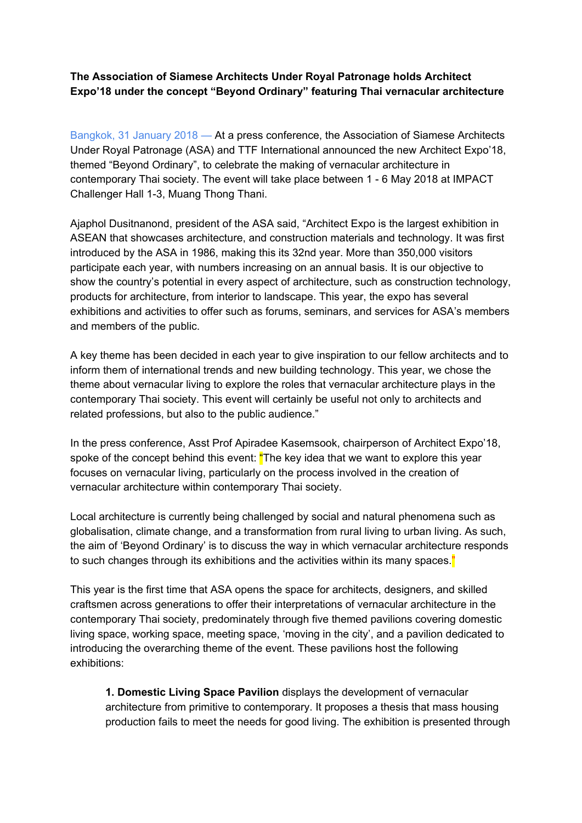**The Association of Siamese Architects Under Royal Patronage holds Architect Expo'18 under the concept "Beyond Ordinary" featuring Thai vernacular architecture**

Bangkok, 31 January 2018 — At a press conference, the Association of Siamese Architects Under Royal Patronage (ASA) and TTF International announced the new Architect Expo'18, themed "Beyond Ordinary", to celebrate the making of vernacular architecture in contemporary Thai society. The event will take place between 1 - 6 May 2018 at IMPACT Challenger Hall 1-3, Muang Thong Thani.

Ajaphol Dusitnanond, president of the ASA said, "Architect Expo is the largest exhibition in ASEAN that showcases architecture, and construction materials and technology. It was first introduced by the ASA in 1986, making this its 32nd year. More than 350,000 visitors participate each year, with numbers increasing on an annual basis. It is our objective to show the country's potential in every aspect of architecture, such as construction technology, products for architecture, from interior to landscape. This year, the expo has several exhibitions and activities to offer such as forums, seminars, and services for ASA's members and members of the public.

A key theme has been decided in each year to give inspiration to our fellow architects and to inform them of international trends and new building technology. This year, we chose the theme about vernacular living to explore the roles that vernacular architecture plays in the contemporary Thai society. This event will certainly be useful not only to architects and related professions, but also to the public audience."

In the press conference, Asst Prof Apiradee Kasemsook, chairperson of Architect Expo'18, spoke of the concept behind this event: "The key idea that we want to explore this year focuses on vernacular living, particularly on the process involved in the creation of vernacular architecture within contemporary Thai society.

Local architecture is currently being challenged by social and natural phenomena such as globalisation, climate change, and a transformation from rural living to urban living. As such, the aim of 'Beyond Ordinary' is to discuss the way in which vernacular architecture responds to such changes through its exhibitions and the activities within its many spaces."

This year is the first time that ASA opens the space for architects, designers, and skilled craftsmen across generations to offer their interpretations of vernacular architecture in the contemporary Thai society, predominately through five themed pavilions covering domestic living space, working space, meeting space, 'moving in the city', and a pavilion dedicated to introducing the overarching theme of the event. These pavilions host the following exhibitions:

**1. Domestic Living Space Pavilion** displays the development of vernacular architecture from primitive to contemporary. It proposes a thesis that mass housing production fails to meet the needs for good living. The exhibition is presented through